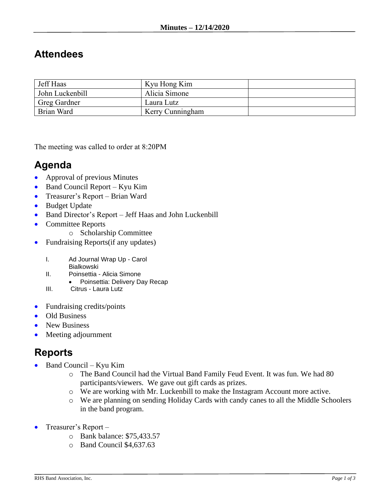## **Attendees**

| Jeff Haas           | Kyu Hong Kim     |  |
|---------------------|------------------|--|
| John Luckenbill     | Alicia Simone    |  |
| <b>Greg Gardner</b> | Laura Lutz       |  |
| Brian Ward          | Kerry Cunningham |  |

The meeting was called to order at 8:20PM

## **Agenda**

- Approval of previous Minutes
- Band Council Report Kyu Kim
- Treasurer's Report Brian Ward
- Budget Update
- Band Director's Report Jeff Haas and John Luckenbill
- Committee Reports
	- o Scholarship Committee
- Fundraising Reports (if any updates)
	- I. Ad Journal Wrap Up Carol Bialkowski
	- II. Poinsettia Alicia Simone
		- Poinsettia: Delivery Day Recap
	- III. Citrus Laura Lutz
- Fundraising credits/points
- Old Business
- New Business
- Meeting adjournment

## **Reports**

- Band Council Kyu Kim
	- o The Band Council had the Virtual Band Family Feud Event. It was fun. We had 80 participants/viewers. We gave out gift cards as prizes.
	- o We are working with Mr. Luckenbill to make the Instagram Account more active.
	- o We are planning on sending Holiday Cards with candy canes to all the Middle Schoolers in the band program.
- Treasurer's Report
	- o Bank balance: \$75,433.57
	- o Band Council \$4,637.63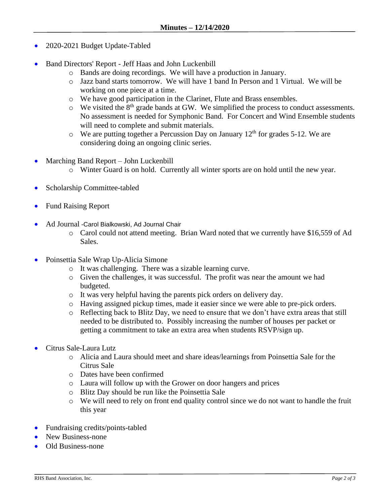- 2020-2021 Budget Update-Tabled
- Band Directors' Report Jeff Haas and John Luckenbill
	- o Bands are doing recordings. We will have a production in January.
	- o Jazz band starts tomorrow. We will have 1 band In Person and 1 Virtual. We will be working on one piece at a time.
	- o We have good participation in the Clarinet, Flute and Brass ensembles.
	- $\circ$  We visited the 8<sup>th</sup> grade bands at GW. We simplified the process to conduct assessments. No assessment is needed for Symphonic Band. For Concert and Wind Ensemble students will need to complete and submit materials.
	- $\circ$  We are putting together a Percussion Day on January 12<sup>th</sup> for grades 5-12. We are considering doing an ongoing clinic series.
- Marching Band Report John Luckenbill
	- o Winter Guard is on hold. Currently all winter sports are on hold until the new year.
- Scholarship Committee-tabled
- Fund Raising Report
- Ad Journal -Carol Bialkowski, Ad Journal Chair
	- o Carol could not attend meeting. Brian Ward noted that we currently have \$16,559 of Ad Sales.
- Poinsettia Sale Wrap Up-Alicia Simone
	- o It was challenging. There was a sizable learning curve.
	- o Given the challenges, it was successful. The profit was near the amount we had budgeted.
	- o It was very helpful having the parents pick orders on delivery day.
	- o Having assigned pickup times, made it easier since we were able to pre-pick orders.
	- o Reflecting back to Blitz Day, we need to ensure that we don't have extra areas that still needed to be distributed to. Possibly increasing the number of houses per packet or getting a commitment to take an extra area when students RSVP/sign up.
- Citrus Sale-Laura Lutz
	- o Alicia and Laura should meet and share ideas/learnings from Poinsettia Sale for the Citrus Sale
	- o Dates have been confirmed
	- o Laura will follow up with the Grower on door hangers and prices
	- o Blitz Day should be run like the Poinsettia Sale
	- o We will need to rely on front end quality control since we do not want to handle the fruit this year
- Fundraising credits/points-tabled
- New Business-none
- Old Business-none